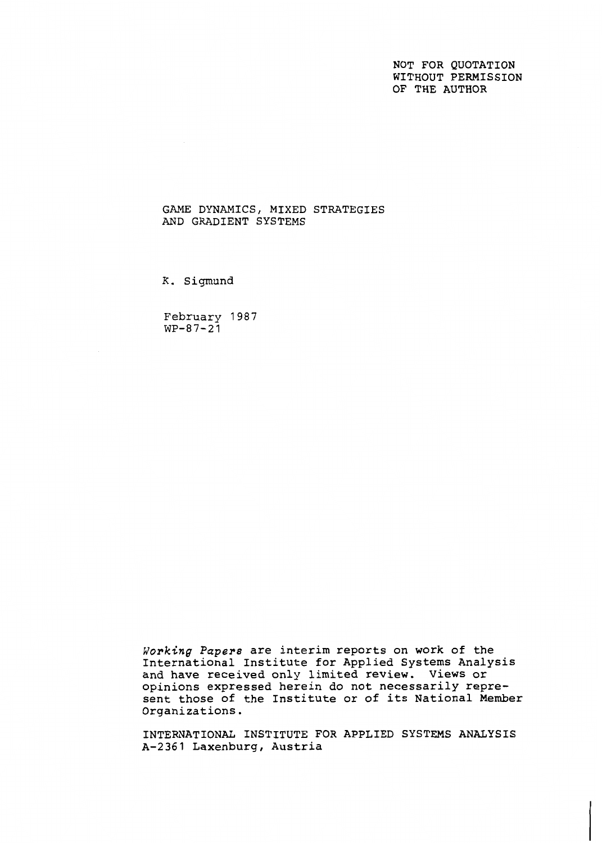NOT FOR QUOTATION WITHOUT PERMISSION OF THE AUTHOR

## GAME DYNAMICS, MIXED STRATEGIES AND GRADIENT SYSTEMS

**K.** Sigmund

February 1987  $WP-87-21$ 

Working Papers are interim reports on work of the International Institute for Applied Systems Analysis and have received only limited review. Views or opinions expressed herein do not necessarily represent those of the Institute or of its National Member Organizations.

INTERNATIONAL INSTITUTE FOR APPLIED SYSTEMS ANALYSIS A-2361 Laxenburg, Austria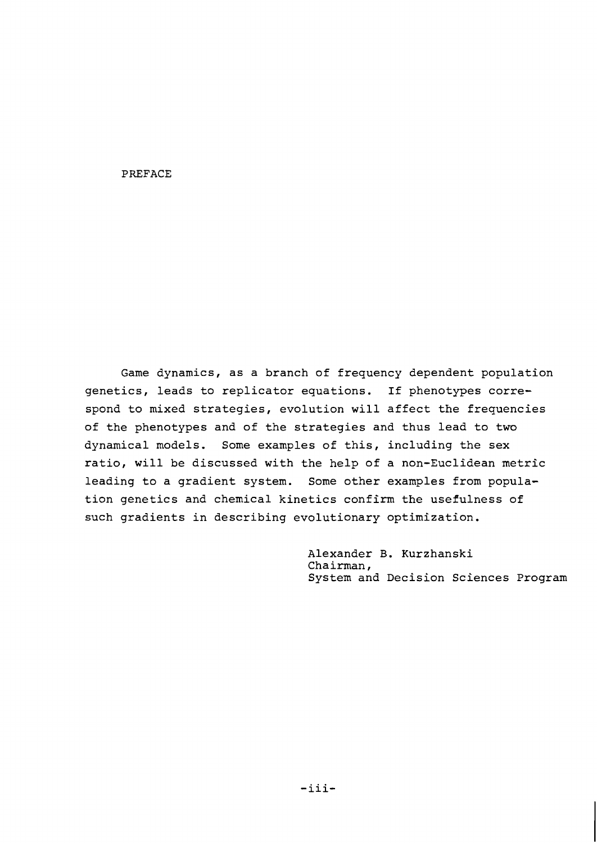### PREFACE

Game dynamics, as a branch of frequency dependent population genetics, leads to replicator equations. If phenotypes correspond to mixed strategies, evolution will affect the frequencies of the phenotypes and of the strategies and thus lead to two dynamical models. Some examples of this, including the sex ratio, will be discussed with the help of a non-Euclidean metric leading to a gradient system. Some other examples from population genetics and chemical kinetics confirm the usefulness of such gradients in describing evolutionary optimization.

> Alexander B. Kurzhanski Chairman, System and Decision Sciences Program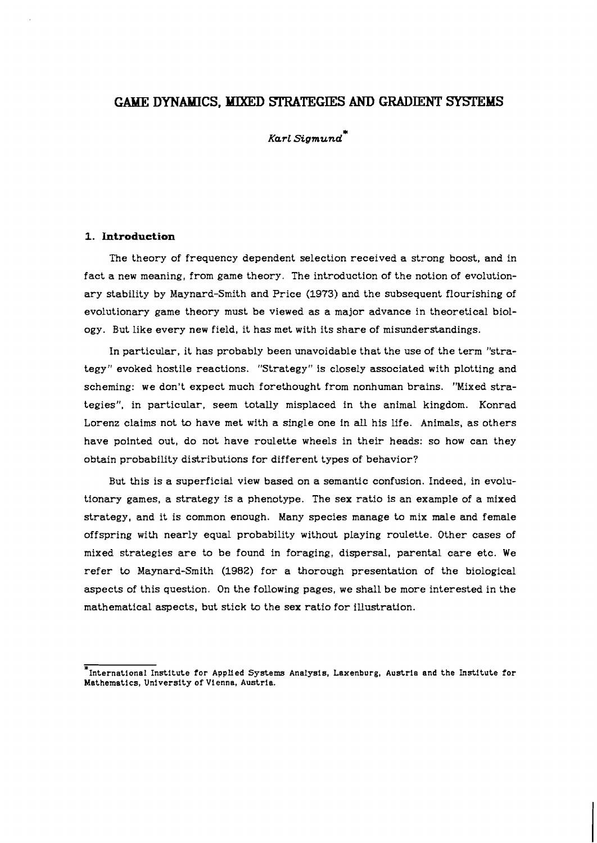# **GAME DYNAMICS, MIXED STRATEGIES AND GRADIENT SYSTEMS**

\* *Karl Sigmund* 

### **1. Introduction**

The theory of frequency dependent selection received a strong boost, and in fact a new meaning, from game theory. The introduction of the notion of evolutionary stability by Maynard-Smith and Price **(1973)** and the subsequent flourishing of evolutionary game theory must be viewed as a major advance in theoretical biology. But like every new field, it has met with its share of misunderstandings.

In particular, it has probably been unavoidable that the use of the term "strategy" evoked hostile reactions. "Strategy" is closely associated with plotting and scheming: we don't expect much forethought from nonhuman brains. "Mixed strategies", in particular, seem totally misplaced in the animal kingdom. Konrad Lorenz claims not to have met with a single one in **all** his life. Animals, as others have pointed out, do not have roulette wheels in their heads: so how can they obtain probability distributions for different types of behavior?

But this is a superficial view based on a semantic confusion. Indeed, in evolutionary games, a strategy is a phenotype. The sex ratio is an example of a mixed strategy, and it is common enough. Many species manage to mix male and female offspring with nearly equal probability without playing roulette. Other cases of mixed strategies are to be found in foraging, dispersal, parental care etc. We refer to Maynard-Smith **(1982)** for a thorough presentation of the biological aspects of this question. On the following pages, we shall be more interested in the mathematical aspects, but stick to the sex ratio for illustration.

<sup>=~</sup>nternational Institute for AppIied Systems Analysis, Laxenburg, Austria and the Institute for Mathematics, University of Vienna, Austria.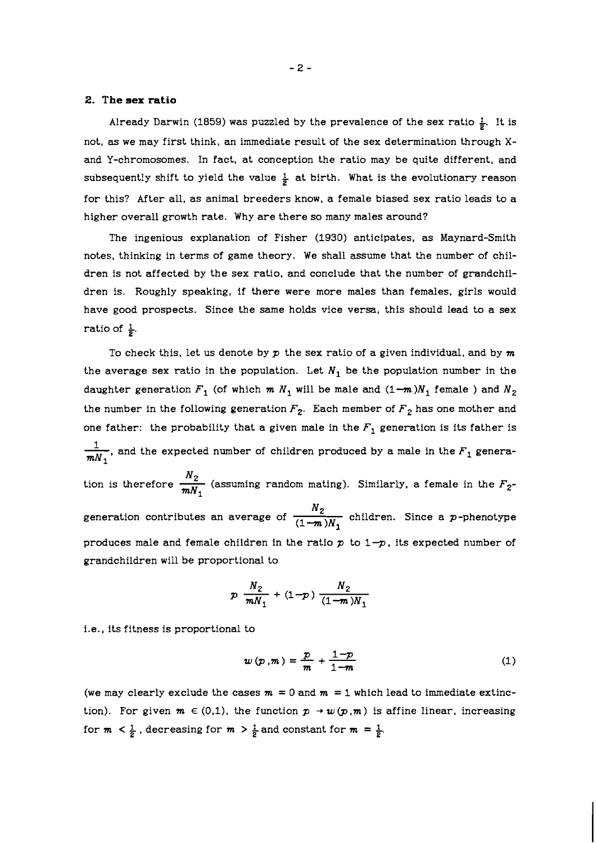## **2. The sex ratio**

Already Darwin (1859) was puzzled by the prevalence of the sex ratio  $\frac{1}{2}$ . It is not, as we may first think, an immediate result of the sex determination through **X**and Y-chromosomes. In fact, at conception the ratio may be quite different, and subsequently shift to yield the value  $\frac{1}{2}$  at birth. What is the evolutionary reason for this? After all, as animal breeders know, a female biased sex ratio leads to a higher overall growth rate. Why are there so many males around?

The ingenious explanation of Fisher (1930) anticipates, as Maynard-Smith notes, thinking in terms of game theory. We shall assume that the number of children is not affected by the sex ratio, and conclude that the number of grandchildren is. Roughly speaking, if there were more males than females, girls would have good prospects. Since the same holds vice versa, this should lead to a sex ratio of  $\frac{1}{6}$ .

To check this, let us denote by *p* the sex ratio of a given individual, and by m the average sex ratio in the population. Let  $N_1$  be the population number in the daughter generation  $F_1$  (of which  $m N_1$  will be male and  $(1-m)N_1$  female ) and  $N_2$ the number in the following generation  $F_2$ . Each member of  $F_2$  has one mother and one father: the probability that a given male in the  $F_1$  generation is its father is daughter generation  $F_1$  (of which  $m N_1$  will be male and  $(1-m)N_1$  female ) and  $N_2$ <br>the number in the following generation  $F_2$ . Each member of  $F_2$  has one mother and<br>one father: the probability that a given male one father: the probability that a given male in the  $F_1$  generation is its father is  $\frac{1}{mN_1}$ , and the expected number of children produced by a male in the  $F_1$  generation is therefore  $\frac{N_2}{mN_1}$  (assuming ran generation contributes an average of  $\frac{N_2}{(1 - m)N_1}$  children. Since a p-phenotype produces male and female children in the ratio  $p$  to  $1-p$ , its expected number of grandchildren will be proportional to

$$
p \frac{N_2}{mN_1} + (1-p) \frac{N_2}{(1-m)N_1}
$$

i.e., its fitness is proportional to

$$
w(p,m) = \frac{p}{m} + \frac{1-p}{1-m} \tag{1}
$$

(we may clearly exclude the cases  $m = 0$  and  $m = 1$  which lead to immediate extinction). For given  $m \in (0,1)$ , the function  $p \to w(p,m)$  is affine linear, increasing for  $m < \frac{1}{2}$ , decreasing for  $m > \frac{1}{2}$  and constant for  $m = \frac{1}{2}$ .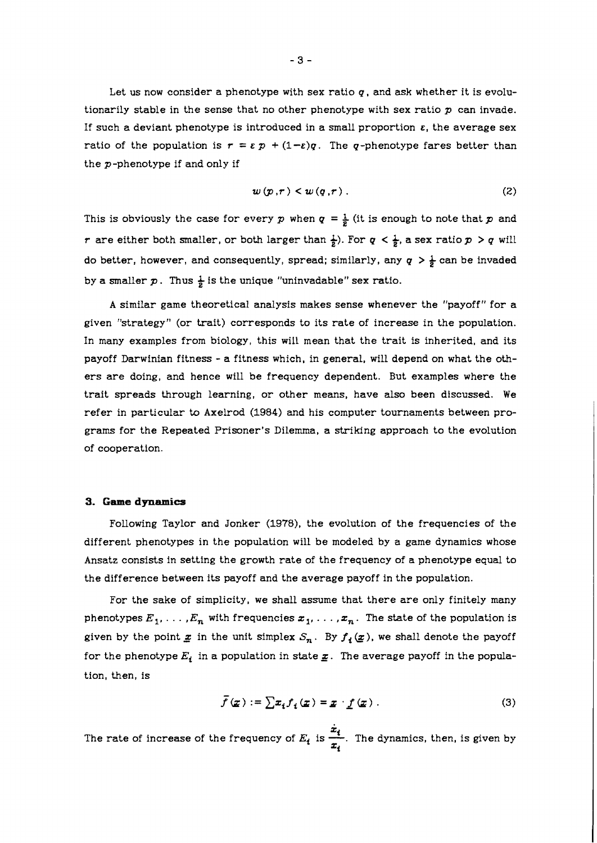Let us now consider a phenotype with sex ratio  $q$ , and ask whether it is evolutionarily stable in the sense that no other phenotype with sex ratio  $p$  can invade. If such a deviant phenotype is introduced in a small proportion  $\varepsilon$ , the average sex ratio of the population is  $r = \varepsilon p + (1-\varepsilon)q$ . The q-phenotype fares better than the p-phenotype if and only if

$$
w(p,r) < w(q,r) \tag{2}
$$

This is obviously the case for every p when  $q = \frac{1}{2}$  (it is enough to note that p and *r* are either both smaller, or both larger than  $\frac{1}{2}$ ). For  $q < \frac{1}{2}$ , a sex ratio  $p > q$  will do better, however, and consequently, spread; similarly, any  $q > \frac{1}{2}$  can be invaded by a smaller  $p$ . Thus  $\frac{1}{2}$  is the unique "uninvadable" sex ratio.

A similar game theoretical analysis makes sense whenever the "payoff" for a given "strategy" (or trait) corresponds to its rate of increase in the population. In many examples from biology, this will mean that the trait is inherited, and its payoff Darwinian fitness - a fitness which, in general, will depend on what the others are doing, and hence will be frequency dependent. But examples where the trait spreads through learning, or other means, have also been discussed. We refer in particular to Axelrod (1984) and his computer tournaments between programs for the Repeated Prisoner's Dilemma, a striking approach to the evolution of cooperation.

#### **3. Game dynamics**

Following Taylor and Jonker (1978), the evolution of the frequencies of the different phenotypes in the population will be modeled by a game dynamics whose Ansatz consists in setting the growth rate of the frequency of a phenotype equal to the difference between its payoff and the average payoff in the population.

For the sake of simplicity, we shall assume that there are only finitely many phenotypes  $E_1, \ldots, E_n$  with frequencies  $x_1, \ldots, x_n$ . The state of the population is given by the point  $x$  in the unit simplex  $S_n$ . By  $f_i(x)$ , we shall denote the payoff for the phenotype  $E_i$  in a population in state  $\underline{x}$ . The average payoff in the population, then, is

$$
\bar{f}(\underline{x}) := \sum x_i f_i(\underline{x}) = \underline{x} \cdot \underline{f}(\underline{x}) . \tag{3}
$$

The rate of increase of the frequency of  $E_i$  is  $\frac{x_i}{x_i}$ . The dynamics, then, is given by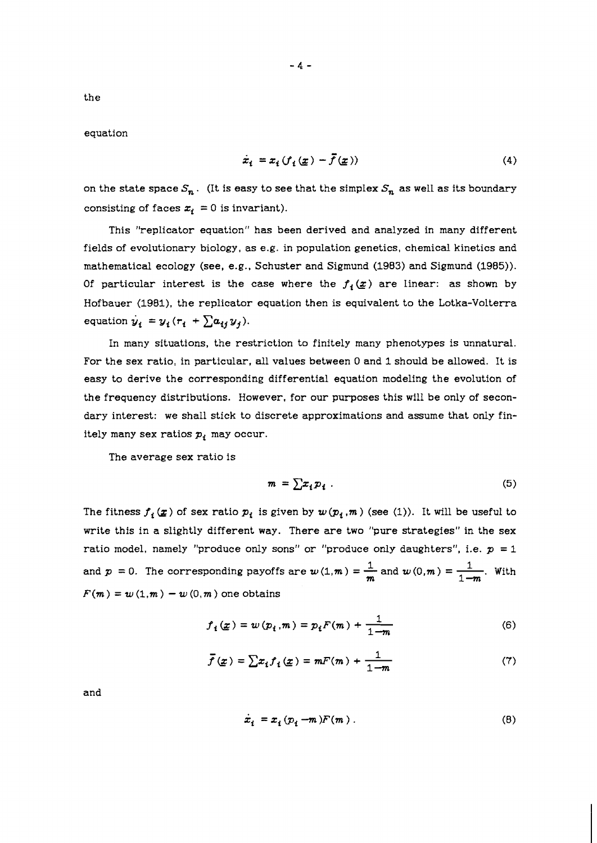the

equation

$$
\dot{x}_i = x_i \left( f_i \left( \underline{x} \right) - \overline{f} \left( \underline{x} \right) \right) \tag{4}
$$

on the state space  $S_n$ . (It is easy to see that the simplex  $S_n$  as well as its boundary consisting of faces  $x_i = 0$  is invariant).

This "replicator equation" has been derived and analyzed in many different fields of evolutionary biology, as e.g. in population genetics, chemical kinetics and mathematical ecology (see, e.g., Schuster and Sigmund (1983) and Sigmund (1985)). Of particular interest is the case where the  $f_i(x)$  are linear: as shown by Hofbauer (1981), the replicator equation then is equivalent to the Lotka-Volterra equation  $y_i = y_i (r_i + \sum a_{ij} y_j).$ 

In many situations, the restriction to finitely many phenotypes is unnatural. For the sex ratio, in particular, all values between 0 and 1 should be allowed. It is easy to derive the corresponding differential equation modeling the evolution of the frequency distributions. However, for our purposes this will be only of secondary interest: we shall stick to discrete approximations and assume that only finitely many sex ratios  $p_i$  may occur.

The average sex ratio is

$$
m = \sum x_i p_i \tag{5}
$$

The fitness  $f_i(x)$  of sex ratio  $p_i$  is given by  $w(p_i, m)$  (see (1)). It will be useful to write this in a slightly different way. There are two "pure strategies" in the sex ratio model, namely "produce only sons" or "produce only daughters", i.e.  $p = 1$ ratio model, namely "produce only sons" or "produce only<br>and  $p = 0$ . The corresponding payoffs are  $w(1,m) = \frac{1}{m}$  and e (1)). It will be useful to<br>ure strategies" in the sex<br>nly daughters", i.e.  $p = 1$ <br>and  $w(0,m) = \frac{1}{1-m}$ . With  $F(m) = w(1,m) - w(0,m)$  one obtains

$$
f_i(\underline{x}) = w(p_i, m) = p_i F(m) + \frac{1}{1 - m}
$$
 (6)

n) one obtains  
\n
$$
f_i(\underline{x}) = w(p_i, m) = p_i F(m) + \frac{1}{1 - m}
$$
\n(6)  
\n
$$
\overline{f}(\underline{x}) = \sum x_i f_i(\underline{x}) = mF(m) + \frac{1}{1 - m}
$$
\n(7)

and

$$
\dot{x}_i = x_i (p_i - m) F(m) \tag{8}
$$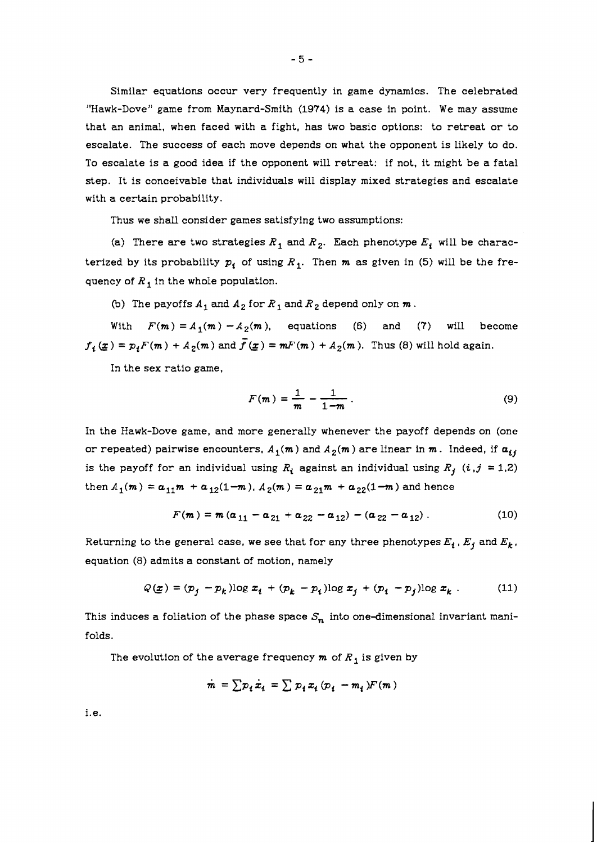Similar equations occur very frequently in game dynamics. The celebrated "Hawk-Dove" game from Maynard-Smith *(1974)* is a case in point. We may assume that an animal, when faced with a fight, has two basic options: to retreat or to escalate. The success of each move depends on what the opponent is likely to do. To escalate is a good idea if the opponent will retreat: if not, it might be a fatal step. It is conceivable that individuals will display mixed strategies and escalate with a certain probability.

Thus we shall consider games satisfying two assumptions:

(a) There are two strategies  $R_1$  and  $R_2$ . Each phenotype  $E_i$ , will be characterized by its probability  $p_i$  of using  $R_1$ . Then  $m$  as given in (5) will be the frequency of  $R_1$  in the whole population.

(b) The payoffs  $A_1$  and  $A_2$  for  $R_1$  and  $R_2$  depend only on  $m$ .

With  $F(m) = A_1(m) - A_2(m)$ , equations (6) and (7) will become  $f_4(x) = p_i F(m) + A_2(m)$  and  $\bar{f}(x) = mF(m) + A_2(m)$ . Thus (8) will hold again.

In the sex ratio game,

$$
F(m) = \frac{1}{m} - \frac{1}{1 - m} \tag{9}
$$

In the Hawk-Dove game, and more generally whenever the payoff depends on (one or repeated) pairwise encounters,  $A_1(m)$  and  $A_2(m)$  are linear in  $m$ . Indeed, if  $a_{ij}$ is the payoff for an individual using  $R_i$  against an individual using  $R_j$   $(i,j = 1,2)$ then  $A_1(m) = a_{11}m + a_{12}(1-m)$ ,  $A_2(m) = a_{21}m + a_{22}(1-m)$  and hence

$$
F(m) = m (\alpha_{11} - \alpha_{21} + \alpha_{22} - \alpha_{12}) - (\alpha_{22} - \alpha_{12}). \qquad (10)
$$

Returning to the general case, we see that for any three phenotypes  $E_i$ ,  $E_j$  and  $E_k$ , equation (8) admits a constant of motion, namely

$$
Q(\underline{x}) = (p_j - p_k) \log x_i + (p_k - p_i) \log x_j + (p_i - p_j) \log x_k \tag{11}
$$

This induces a foliation of the phase space  $S_n$  into one-dimensional invariant manifolds.

The evolution of the average frequency  $m$  of  $R_1$  is given by

$$
\dot{m} = \sum p_i \dot{x}_i = \sum p_i x_i \left( p_i - m_i \right) F(m)
$$

i.e.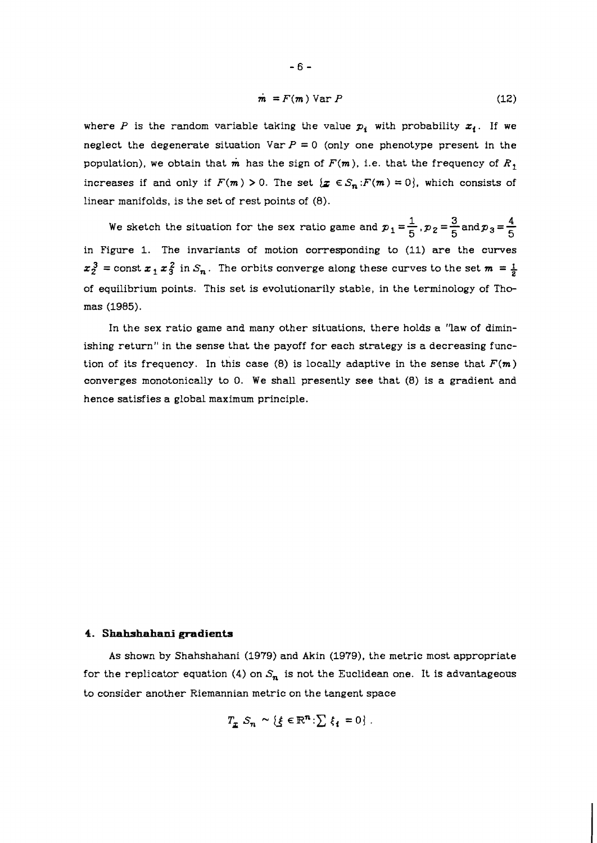$$
\dot{\mathbf{m}} = F(\mathbf{m}) \text{Var } P \tag{12}
$$

where P is the random variable taking the value  $p_i$  with probability  $x_i$ . If we neglect the degenerate situation Var  $P = 0$  (only one phenotype present in the population), we obtain that  $\dot{m}$  has the sign of  $F(m)$ , i.e. that the frequency of  $R_1$ increases if and only if  $F(m) > 0$ . The set  $\{x \in S_n : F(m) = 0\}$ , which consists of linear manifolds, is the set of rest points of **(8).** 

**1** manifolds, is the set of f est points of (8).<br>We sketch the situation for the sex ratio game and  $p_1 = \frac{1}{5}$ ,  $p_2 = \frac{3}{5}$  and  $p_3 = \frac{4}{5}$ in Figure **1.** The invariants of motion corresponding to **(11)** are the curves  $z_2^3$  = const  $z_1 z_3^2$  in  $S_n$ . The orbits converge along these curves to the set  $m = \frac{1}{2}$ of equilibrium points. This set is evolutionarily stable, in the terminology of Thomas **(1985).** 

In the sex ratio game and many other situations, there holds a "law of diminishing return" in the sense that the payoff for each strategy is a decreasing function of its frequency. In this case  $(8)$  is locally adaptive in the sense that  $F(m)$ converges monotonically to 0. We shall presently see that (8) is a gradient and hence satisfies a global maximum principle.

## **4. Shahshahani gradients**

As shown by Shahshahani **(1979)** and Akin **(1979),** the metric most appropriate for the replicator equation **(4)** on  $S_n$  is not the Euclidean one. It is advantageous to consider another Riemannian metric on the tangent space

$$
T_{\underline{x}} S_n \sim \{ \xi \in \mathbb{R}^n : \sum \xi_i = 0 \} .
$$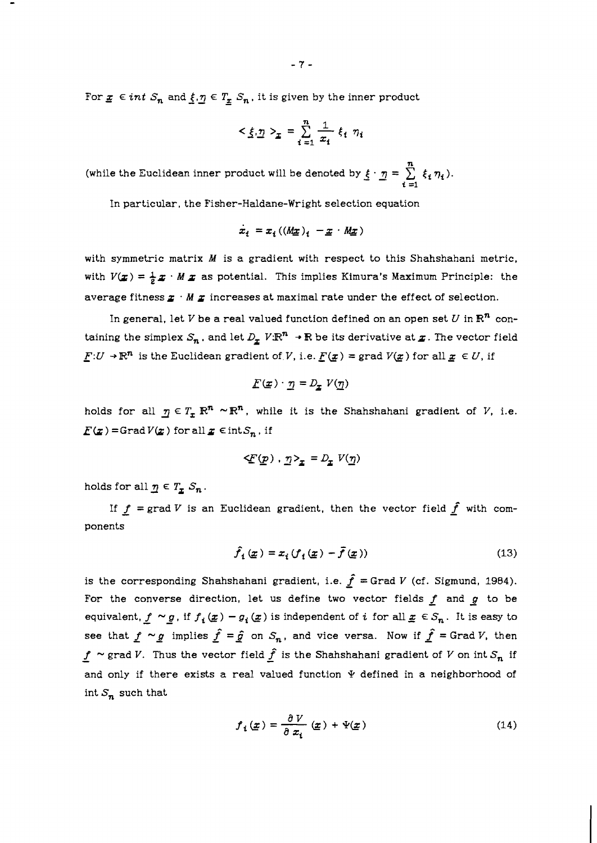For  $x \in int S_n$  and  $\underline{\xi,\eta} \in T_x S_n$ , it is given by the inner product

$$
\langle \xi, \underline{\eta} \rangle_{\underline{x}} = \sum_{i=1}^{n} \frac{1}{x_i} \xi_i \eta_i
$$

(while the Euclidean inner product will be denoted by  $\underline{\xi} \cdot \underline{\eta} = \sum\limits_{i=1}^n \xi_i \eta_i$ ). **i =1** 

In particular, the Fisher-Haldane-Wright selection equation

$$
x_i = x_i ((Mx)_i - x \cdot Mx)
$$

with symmetric matrix **M** is a gradient with respect to this Shahshahani metric, with  $V(x) = \frac{1}{2}x \cdot M x$  as potential. This implies Kimura's Maximum Principle: the average fitness **z** . **M z** increases at maximal rate under the effect of selection.

In general, let V be a real valued function defined on an open set  $U$  in  $\mathbb{R}^n$  containing the simplex  $S_n$ , and let  $D_x$   $V \mathbb{R}^n \to \mathbb{R}$  be its derivative at  $x$ . The vector field  $F:U \to \mathbb{R}^n$  is the Euclidean gradient of V, i.e.  $\underline{F}(\underline{x}) =$  grad  $V(\underline{x})$  for all  $\underline{x} \in U$ , if

$$
F(\underline{x}) \cdot \underline{\eta} = D_{\underline{x}} V(\underline{\eta})
$$

holds for all  $\eta \in T_r \mathbb{R}^n \sim \mathbb{R}^n$ , while it is the Shahshahani gradient of V, i.e.  $E(x)$  = Grad  $V(x)$  for all  $x \in \text{int}S_n$ , if

$$
\langle \underline{F}(\underline{p}) \cdot \underline{\eta} \rangle_{\underline{x}} = D_{\underline{x}} V(\underline{\eta})
$$

holds for all  $\eta \in T_x S_n$ .

If  $f = \text{grad } V$  is an Euclidean gradient, then the vector field  $\hat{f}$  with components

$$
\hat{f}_i(\underline{x}) = x_i (f_i(\underline{x}) - \bar{f}(\underline{x})) \tag{13}
$$

is the corresponding Shahshahani gradient, i.e.  $\hat{f}$  = Grad V (cf. Sigmund, 1984). For the converse direction, let us define two vector fields  $f$  and  $g$  to be equivalent,  $f \sim g$ , if  $f_i(x) - g_i(x)$  is independent of *i* for all  $x \in S_n$ . It is easy to see that  $f \sim g$  implies  $\hat{f} = \hat{g}$  on  $S_n$ , and vice versa. Now if  $\hat{f} =$  Grad V, then  $f \sim$  grad V. Thus the vector field  $\hat{f}$  is the Shahshahani gradient of V on int  $S_n$  if and only if there exists a real valued function  $\Psi$  defined in a neighborhood of int  $S_n$  such that

$$
f_i(\underline{x}) = \frac{\partial V}{\partial x_i}(\underline{x}) + \Psi(\underline{x})
$$
\n(14)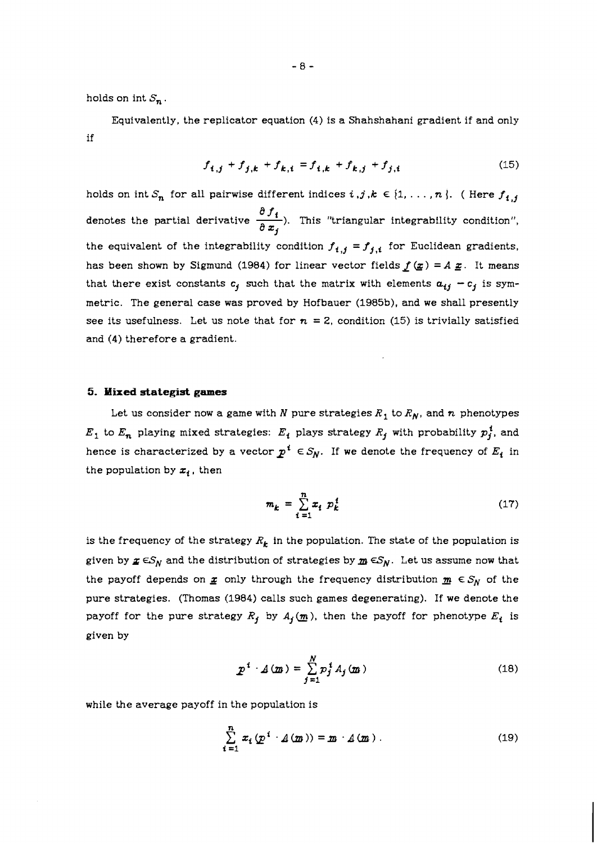holds on int  $S_n$ .

Equivalently, the replicator equation (4) is a Shahshahani gradient if and only if

$$
f_{i,j} + f_{j,k} + f_{k,i} = f_{i,k} + f_{k,j} + f_{j,i}
$$
 (15)

holds on int  $S_n$  for all pairwise different indices  $i, j, k \in \{1, ..., n\}$ . ( Here  $f_{i,j}$ *f<sub>t,j</sub>* + *f<sub>j,k</sub>* + *f<sub>k,i</sub>* = *f<sub>t,k</sub>* + *f<sub>k,j</sub>* + *f<sub>j,i</sub>* (15)<br>
holds on int  $S_n$  for all pairwise different indices  $i, j, k \in \{1, ..., n\}$ . (Here  $f_{t,j}$ <br>
denotes the partial derivative  $\frac{\partial f_t}{\partial x_j}$ ). This "triangular the equivalent of the integrability condition  $f_{i,j} = f_{j,i}$  for Euclidean gradients, has been shown by Sigmund (1984) for linear vector fields  $f(x) = A x$ . It means that there exist constants  $c_j$  such that the matrix with elements  $a_{ij} - c_j$  is symmetric. The general case was proved by Hofbauer (1985b), and we shall presently see its usefulness. Let us note that for  $n = 2$ , condition (15) is trivially satisfied and (4) therefore a gradient.

## *5.* **Mixed stategist games**

Let us consider now a game with *N* pure strategies  $R_1$  to  $R_N$ , and *n* phenotypes  $E_1$  to  $E_n$  playing mixed strategies:  $E_i$  plays strategy  $R_j$  with probability  $p_j^i$ , and hence is characterized by a vector  $p^i \in S_N$ . If we denote the frequency of  $E_i$  in the population by  $x_i$ , then

$$
m_k = \sum_{i=1}^{n} x_i \ p_k^i \tag{17}
$$

is the frequency of the strategy  $R_k$  in the population. The state of the population is given by  $x \in S_N$  and the distribution of strategies by  $m \in S_N$ . Let us assume now that the payoff depends on  $\underline{x}$  only through the frequency distribution  $\underline{m} \in S_N$  of the pure strategies. (Thomas (1984) calls such games degenerating). If we denote the payoff for the pure strategy  $R_j$  by  $A_j(\underline{m})$ , then the payoff for phenotype  $E_i$  is given by

$$
p^i \cdot A(m) = \sum_{j=1}^N p_j^i A_j(m)
$$
 (18)

while the average payoff in the population is

$$
\sum_{i=1}^{n} x_i (p^i \cdot A(m)) = m \cdot A(m) . \qquad (19)
$$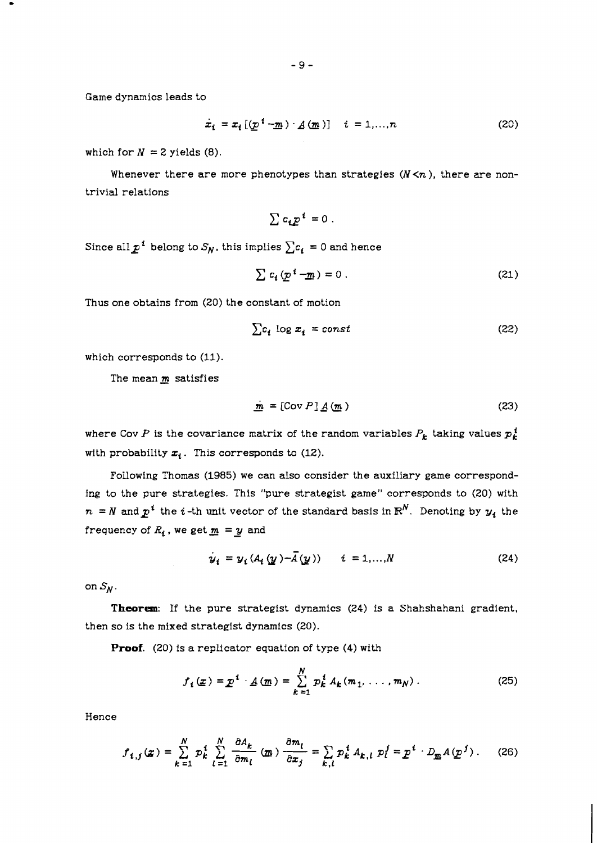Game dynamics leads to

$$
\dot{x}_i = x_i \left[ \left( \underline{p}^i - \underline{m} \right) \cdot \underline{A} \left( \underline{m} \right) \right] \quad i = 1, ..., n \tag{20}
$$

which for  $N = 2$  yields  $(8)$ .

Whenever there are more phenotypes than strategies  $(N \le n)$ , there are nontrivial relations

$$
\sum c_i p^i = 0.
$$

Since all  $p^i$  belong to  $S_N$ , this implies  $\sum c_i = 0$  and hence

$$
\sum c_i \left( \underline{p}^i - \underline{m} \right) = 0 \tag{21}
$$

Thus one obtains from *(20)* the constant of motion

$$
\sum c_i \log x_i = const \tag{22}
$$

which corresponds to *(11).* 

The mean  $m$  satisfies

$$
\dot{\mathbf{m}} = [\text{Cov } P] \underline{A} (\mathbf{m}) \tag{23}
$$

where Cov P is the covariance matrix of the random variables  $P_k$  taking values  $p_k^i$ with probability  $x_i$ . This corresponds to  $(12)$ .

Following Thomas *(1985)* we can also consider the auxiliary game corresponding to the pure strategies. This "pure strategist game" corresponds to *(20)* with  $n = N$  and  $p<sup>i</sup>$  the *i*-th unit vector of the standard basis in  $\mathbb{R}^N$ . Denoting by  $y_i$  the frequency of  $R_i$ , we get  $\underline{m} = \underline{y}$  and

$$
\dot{y}_i = y_i (A_i(y) - \bar{A}(y)) \qquad i = 1,...,N
$$
 (24)

on  $S_N$ .

**Theorem:** If the pure strategist dynamics *(24)* is a Shahshahani gradient, then so is the mixed strategist dynamics *(20).* 

**Proof.** *(20)* is a replicator equation of type (4) with

$$
f_i(\underline{x}) = \underline{p}^i \cdot \underline{A}(\underline{m}) = \sum_{k=1}^N p_k^i A_k(m_1, \ldots, m_N) \,. \tag{25}
$$

Hence

$$
f_{i,j}(x) = \sum_{k=1}^{N} p_k^i \sum_{l=1}^{N} \frac{\partial A_k}{\partial m_l} (m) \frac{\partial m_l}{\partial x_j} = \sum_{k,l} p_k^i A_{k,l} p_l^j = p^i \cdot D_m A(p^j).
$$
 (26)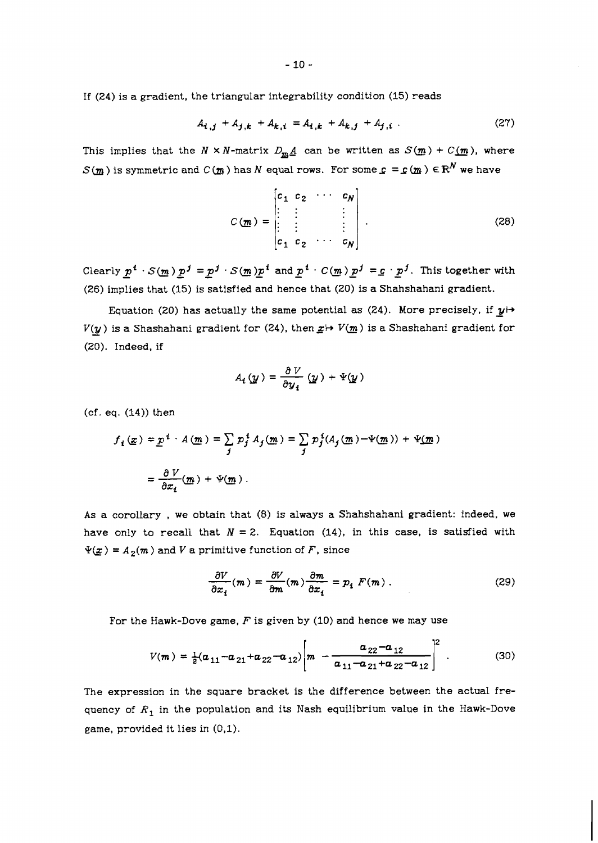If *(24)* is a gradient, the triangular integrability condition *(15)* reads

$$
A_{i,j} + A_{j,k} + A_{k,i} = A_{i,k} + A_{k,j} + A_{j,i} \tag{27}
$$

This implies that the  $N \times N$ -matrix  $D_m A$  can be written as  $S(m) + C(m)$ , where  $S(m)$  is symmetric and  $C(m)$  has N equal rows. For some  $c = c(m) \in \mathbb{R}^N$  we have

$$
C(\underline{m}) = \begin{bmatrix} c_1 & c_2 & \cdots & c_N \\ \vdots & \vdots & & \vdots \\ \vdots & & \vdots & \vdots \\ c_1 & c_2 & \cdots & c_N \end{bmatrix} .
$$
 (28)

Clearly  $p^i \cdot S(m) p^j = p^j \cdot S(m) p^i$  and  $p^i \cdot C(m) p^j = c \cdot p^j$ . This together with *(26)* implies that *(15)* is satisfied and hence that *(20)* is a Shahshahani gradient.

Equation (20) has actually the same potential as  $(24)$ . More precisely, if  $y \mapsto$  $V(y)$  is a Shashahani gradient for (24), then  $x \mapsto V(m)$  is a Shashahani gradient for *(20).* Indeed, if

$$
A_i(\underline{y}) = \frac{\partial V}{\partial y_i}(\underline{y}) + \Psi(\underline{y})
$$

(cf. eq. *(14))* then

$$
f_i(\underline{x}) = \underline{p}^i \cdot A(\underline{m}) = \sum_j p_j^i A_j(\underline{m}) = \sum_j p_j^i (A_j(\underline{m}) - \Psi(\underline{m})) + \Psi(\underline{m})
$$

$$
= \frac{\partial V}{\partial x_i}(\underline{m}) + \Psi(\underline{m}).
$$

As a corollary , we obtain that (8) is always a Shahshahani gradient: indeed, we have only to recall that  $N = 2$ . Equation  $(14)$ , in this case, is satisfied with  $\Psi(\underline{x}) = A_2(m)$  and *V* a primitive function of *F*, since

$$
\frac{\partial V}{\partial x_i}(m) = \frac{\partial V}{\partial m}(m) \frac{\partial m}{\partial x_i} = p_i F(m) . \qquad (29)
$$

For the Hawk-Dove game, *F* is given by *(10)* and hence we may use

$$
V(m) = \frac{1}{2}(a_{11} - a_{21} + a_{22} - a_{12}) \left[ m - \frac{a_{22} - a_{12}}{a_{11} - a_{21} + a_{22} - a_{12}} \right]^2
$$
 (30)

The expression in the square bracket is the difference between the actual frequency of  $R_1$  in the population and its Nash equilibrium value in the Hawk-Dove game, provided it lies in (0,l).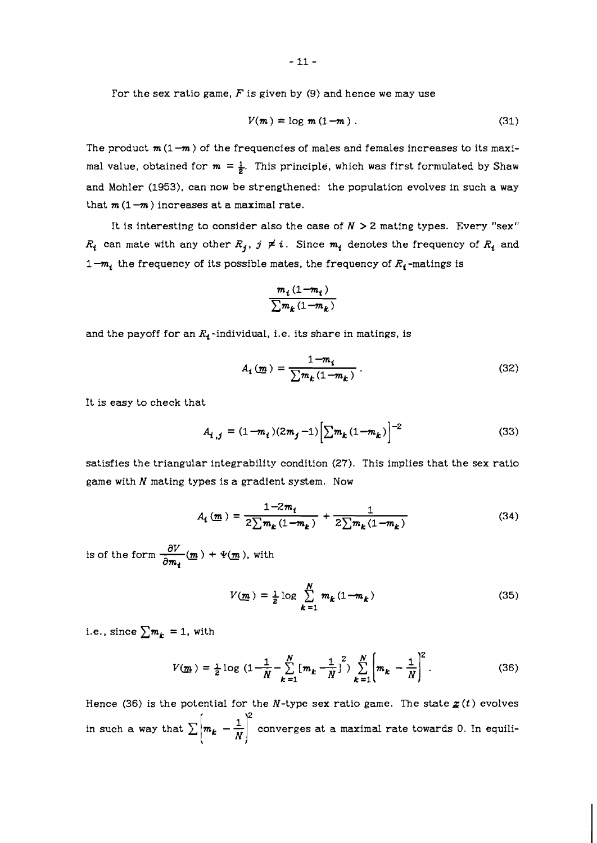For the sex ratio game,  $F$  is given by (9) and hence we may use

$$
V(m) = \log m (1 - m) \tag{31}
$$

The product  $m(1-m)$  of the frequencies of males and females increases to its maximal value, obtained for  $m = \frac{1}{2}$ . This principle, which was first formulated by Shaw and Mohler **(1953).** can now be strengthened: the population evolves in such a way that  $m(1-m)$  increases at a maximal rate.

It is interesting to consider also the case of  $N > 2$  mating types. Every "sex"  $R_i$  can mate with any other  $R_j$ ,  $j \neq i$ . Since  $m_i$  denotes the frequency of  $R_i$  and  $1-m_i$  the frequency of its possible mates, the frequency of  $R_i$ -matings is

$$
\frac{m_i(1-m_i)}{\sum m_k(1-m_k)}
$$

and the payoff for an  $R_1$ -individual, i.e. its share in matings, is

$$
A_i(\underline{m}) = \frac{1 - m_i}{\sum m_k (1 - m_k)}.
$$
\n(32)

It is easy to check that

$$
A_{i,j} = (1 - m_i)(2m_j - 1) \left[ \sum m_k (1 - m_k) \right]^{-2}
$$
 (33)

satisfies the triangular integrability condition **(27).** This implies that the sex ratio game with  $N$  mating types is a gradient system. Now

$$
A_{l} \left( \underline{m} \right) = \frac{1 - 2m_{l}}{2 \sum m_{k} \left( 1 - m_{k} \right)} + \frac{1}{2 \sum m_{k} \left( 1 - m_{k} \right)} \tag{34}
$$

is of the form  $\frac{\partial V}{\partial m_s}(m) + \Psi(m)$ , with

$$
V(\underline{m}) = \frac{1}{2} \log \sum_{k=1}^{N} m_k (1 - m_k)
$$
 (35)

i.e., since  $\sum m_k = 1$ , with

$$
V(\underline{m}) = \frac{1}{2} \log \left( 1 - \frac{1}{N} - \sum_{k=1}^{N} \left[ m_k - \frac{1}{N} \right]^2 \right) \sum_{k=1}^{N} \left[ m_k - \frac{1}{N} \right]^2.
$$
 (36)

Hence (36) is the potential for the N-type sex ratio game. The state  $\mathbf{z}(t)$  evolves in such a way that  $\sum \left| m_k - \frac{1}{N} \right|^2$  converges at a maximal rate towards 0. In equili-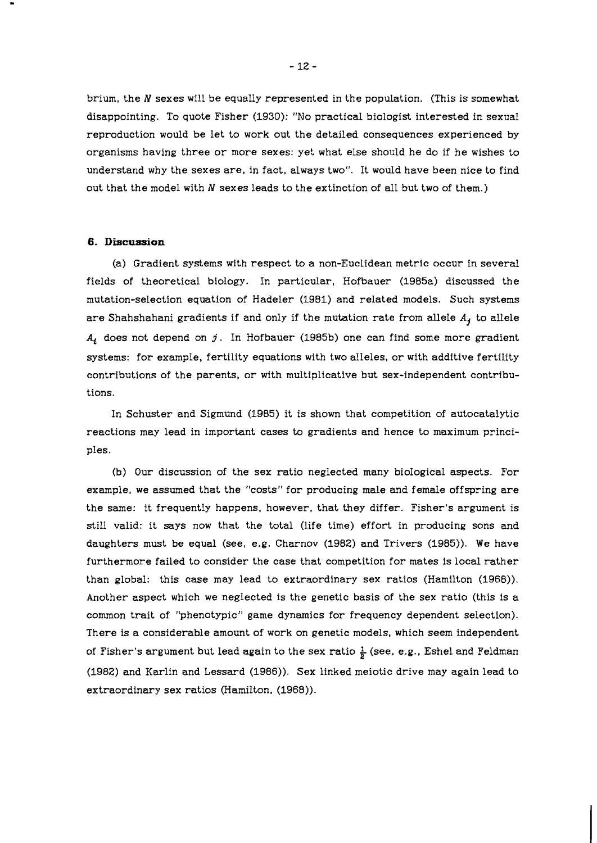brium, the N sexes will be equally represented in the population. (This is somewhat disappointing. To quote Fisher (1930): "No practical biologist interested in sexual reproduction would be let to work out the detailed consequences experienced by organisms having three or more sexes: yet what else should he do if he wishes to understand why the sexes are, in fact, always two". It would have been nice to find out that the model with N sexes leads to the extinction of all but two of them.)

#### **6. Discussion**

(a) Gradient systems with respect to a non-Euclidean metric occur in several fields of theoretical biology. In particular, Hofbauer (1985a) discussed the mutation-selection equation of Hadeler (1981) and related models. Such systems are Shahshahani gradients if and only if the mutation rate from allele *A,* to allele *Ac* does not depend on **j.** In Hofbauer (1985b) one can find some more gradient systems: for example, fertility equations with two alleles, or with additive fertility contributions of the parents, or with multiplicative but sex-independent contributions.

In Schuster and Sigmund (1985) it is shown that competition of autocatalytic reactions may lead in important cases to gradients and hence to maximum principles.

(b) Our discussion of the sex ratio neglected many bioIogical aspects. For example, we assumed that the "costs" for producing male and female offspring are the same: it frequently happens, however, that they differ. Fisher's argument is still valid: it says now that the total (life time) effort in producing sons and daughters must be equal (see, e.g. Charnov (1982) and Trivers (1985)). We have furthermore failed to consider the case that competition for mates is local rather than global: this case may lead to extraordinary sex ratios (Hamilton (1968)). Another aspect which we neglected is the genetic basis of the sex ratio (this is a common trait of "phenotypic" game dynamics for frequency dependent selection). There is a considerable amount of work on genetic models, which seem independent of Fisher's argument but lead again to the sex ratio  $\frac{1}{2}$  (see, e.g., Eshel and Feldman (1982) and Karlin and Lessard (1986)). Sex linked meiotic drive may again lead to extraordinary sex ratios (Hamilton, (1968)).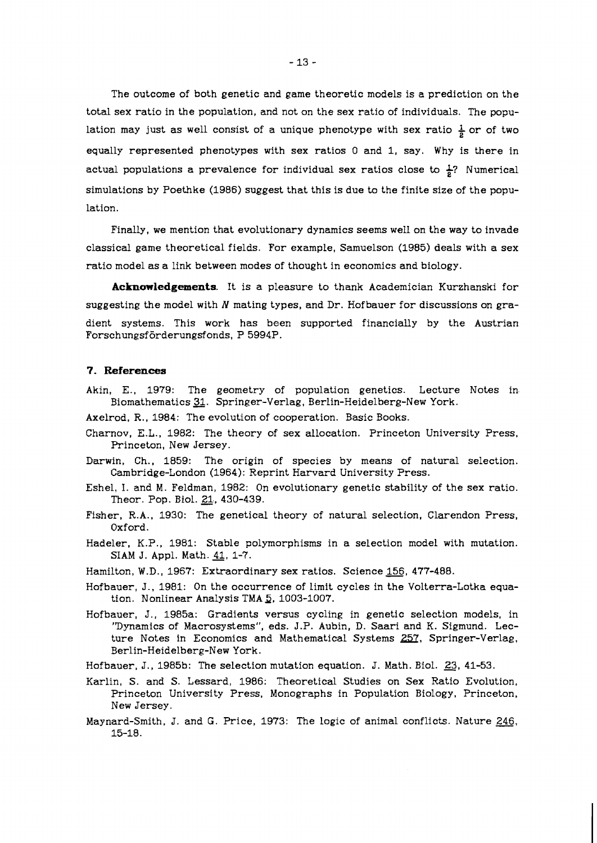The outcome of both genetic and game theoretic models is a prediction on the total sex ratio in the population, and not on the sex ratio of individuals. The population may just as well consist of a unique phenotype with sex ratio  $\frac{1}{6}$  or of two equally represented phenotypes with sex ratios 0 and 1, say. Why is there in actual populations a prevalence for individual sex ratios close to  $\frac{1}{6}$ ? Numerical simulations by Poethke (1986) suggest that this is due to the finite size of the population.

Finally, we mention that evolutionary dynamics seems well on the way to invade classical game theoretical fields. For example, Samuelson (1985) deals with a sex ratio model as a link between modes of thought in economics and biology.

**Acknowledgements.** It is a pleasure to thank Academician Kurzhanski for suggesting the model with **N** mating types, and Dr. Hofbauer for discussions on gradient systems. This work has been supported financially by the Austrian Forschungsförderungsfonds, P 5994P.

## **7. References**

- Akin, E., 1979: The geometry of population genetics. Lecture Notes in-Biomathematics 31. Springer-Verlag, Berlin-Heidelberg-New York.
- Axelrod, R., 1984: The evolution of cooperation. Basic Books.
- Charnov, E.L., 1982: The theory of sex allocation. Princeton University Press, Princeton, New Jersey.
- Darwin, Ch., 1859: The origin of species by means of natural selection. Cambridge-London (1964): Reprint Harvard University Press.
- Eshel, I. and M. Feldman, 1982: On evolutionary genetic stability of the sex ratio.<br>Theor. Pop. Biol. <u>21,</u> 430-439.
- Fisher, R.A., 1930: The genetical theory of natural selection, Clarendon Press, Oxford.
- Hadeler, K.P., 1981: Stable polymorphisms in a selection model with mutation. SIAM J. Appl. Math. 41, 1-7.
- Hamilton, W.D., 1967: Extraordinary sex ratios. Science 156, 477-488.
- Hofbauer, J., 1981: On the occurrence of limit cycles in the Volterra-Lotka equation. Nonlinear Analysis TMA **3,** 1003-1007.
- Hofbauer, J., 1985a: Gradients versus cycling in genetic selection models, in "Dynamics of Macrosystems", eds. J.P. Aubin, D. Saari and K. Sigmund. Lec-ture Notes in Economics and Mathematical Systems <u>257</u>, Springer-Verlag, Berlin-Heidelberg-New York.
- Hofbauer, J., 1985b: The selection mutation equation. J. Math. Biol. 23, 41-53.
- Karlin, S. and S. Lessard, 1986: Theoretical Studies on Sex Ratio Evolution, Princeton University Press, Monographs in Population Biology, Princeton, New Jersey.
- Maynard-Smith, J. and G. Price, 1973: The logic of animal conflicts. Nature 246, 15-18.